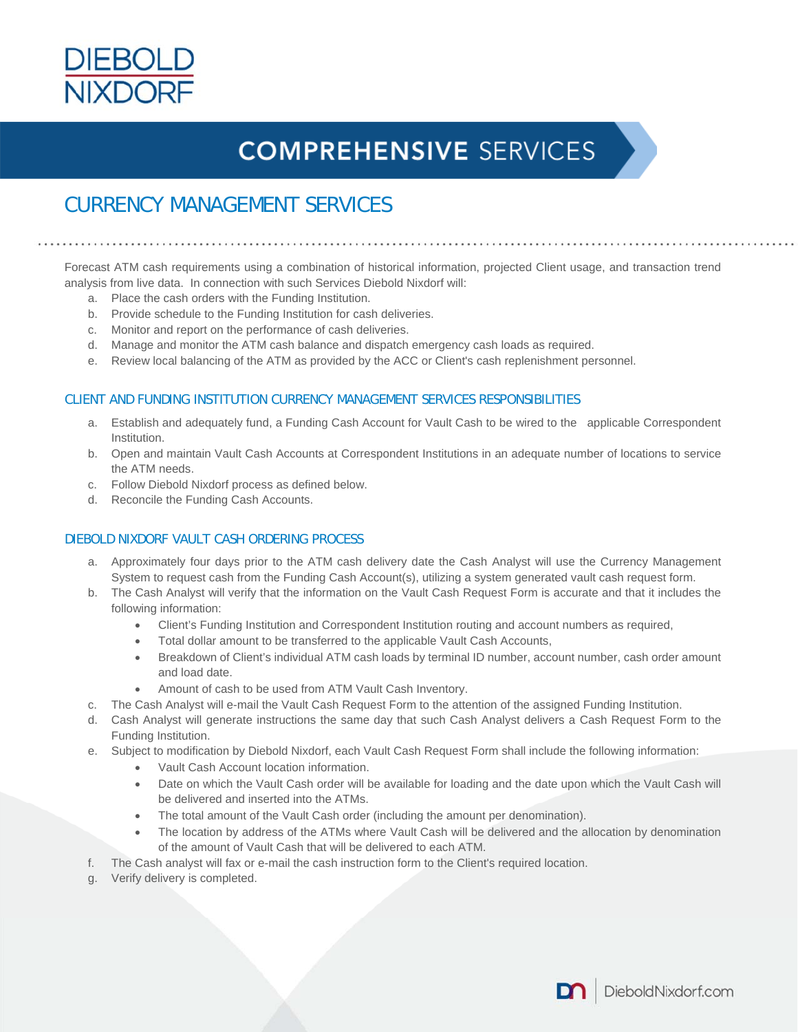

# **COMPREHENSIVE SERVICES**

### CURRENCY MANAGEMENT SERVICES

Forecast ATM cash requirements using a combination of historical information, projected Client usage, and transaction trend analysis from live data. In connection with such Services Diebold Nixdorf will:

- a. Place the cash orders with the Funding Institution.
- b. Provide schedule to the Funding Institution for cash deliveries.
- c. Monitor and report on the performance of cash deliveries.
- d. Manage and monitor the ATM cash balance and dispatch emergency cash loads as required.
- e. Review local balancing of the ATM as provided by the ACC or Client's cash replenishment personnel.

#### CLIENT AND FUNDING INSTITUTION CURRENCY MANAGEMENT SERVICES RESPONSIBILITIES

- a. Establish and adequately fund, a Funding Cash Account for Vault Cash to be wired to the applicable Correspondent Institution.
- b. Open and maintain Vault Cash Accounts at Correspondent Institutions in an adequate number of locations to service the ATM needs.
- c. Follow Diebold Nixdorf process as defined below.
- d. Reconcile the Funding Cash Accounts.

#### DIEBOLD NIXDORF VAULT CASH ORDERING PROCESS

- a. Approximately four days prior to the ATM cash delivery date the Cash Analyst will use the Currency Management System to request cash from the Funding Cash Account(s), utilizing a system generated vault cash request form.
- b. The Cash Analyst will verify that the information on the Vault Cash Request Form is accurate and that it includes the following information:
	- Client's Funding Institution and Correspondent Institution routing and account numbers as required,
	- Total dollar amount to be transferred to the applicable Vault Cash Accounts,
	- Breakdown of Client's individual ATM cash loads by terminal ID number, account number, cash order amount and load date.
	- Amount of cash to be used from ATM Vault Cash Inventory.
- c. The Cash Analyst will e-mail the Vault Cash Request Form to the attention of the assigned Funding Institution.
- d. Cash Analyst will generate instructions the same day that such Cash Analyst delivers a Cash Request Form to the Funding Institution.
- e. Subject to modification by Diebold Nixdorf, each Vault Cash Request Form shall include the following information:
	- Vault Cash Account location information.
	- Date on which the Vault Cash order will be available for loading and the date upon which the Vault Cash will be delivered and inserted into the ATMs.
	- The total amount of the Vault Cash order (including the amount per denomination).
	- The location by address of the ATMs where Vault Cash will be delivered and the allocation by denomination of the amount of Vault Cash that will be delivered to each ATM.
- f. The Cash analyst will fax or e-mail the cash instruction form to the Client's required location.
- g. Verify delivery is completed.